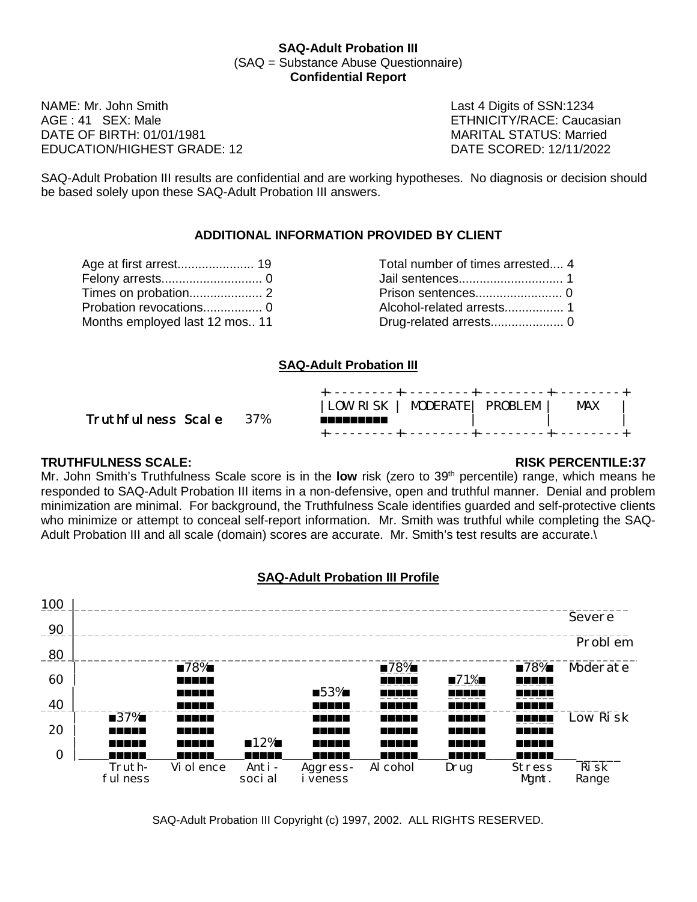#### **SAQ-Adult Probation III** (SAQ = Substance Abuse Questionnaire) **Confidential Report**

NAME: Mr. John Smith **Name Communist Communist Communist Communist Communist Communist Communist Communist Communist Communist Communist Communist Communist Communist Communist Communist Communist Communist Communist Commu** DATE OF BIRTH: 01/01/1981 MARITAL STATUS: Married EDUCATION/HIGHEST GRADE: 12 DATE SCORED: 12/11/2022

ETHNICITY/RACE: Caucasian

SAQ-Adult Probation III results are confidential and are working hypotheses. No diagnosis or decision should be based solely upon these SAQ-Adult Probation III answers.

## **ADDITIONAL INFORMATION PROVIDED BY CLIENT**

| Age at first arrest 19         | Total number of times arrested 4 |
|--------------------------------|----------------------------------|
|                                |                                  |
|                                |                                  |
|                                |                                  |
| Months employed last 12 mos 11 |                                  |

| Age at first arrest 19         | Total number of times arrested 4 |
|--------------------------------|----------------------------------|
|                                |                                  |
|                                |                                  |
|                                |                                  |
| Months employed last 12 mos 11 |                                  |

## **SAQ-Adult Probation III**

| Truthfulness Scale 37% | LOW RISK   MODERATE  PROBLEM  <br><b>MAX</b><br>--------- |  |
|------------------------|-----------------------------------------------------------|--|
|                        |                                                           |  |

### **TRUTHFULNESS SCALE: RISK PERCENTILE:37**

Mr. John Smith's Truthfulness Scale score is in the **low** risk (zero to 39<sup>th</sup> percentile) range, which means he responded to SAQ-Adult Probation III items in a non-defensive, open and truthful manner. Denial and problem minimization are minimal. For background, the Truthfulness Scale identifies guarded and self-protective clients who minimize or attempt to conceal self-report information. Mr. Smith was truthful while completing the SAQ-Adult Probation III and all scale (domain) scores are accurate. Mr. Smith's test results are accurate.\



### **SAQ-Adult Probation III Profile**

SAQ-Adult Probation III Copyright (c) 1997, 2002. ALL RIGHTS RESERVED.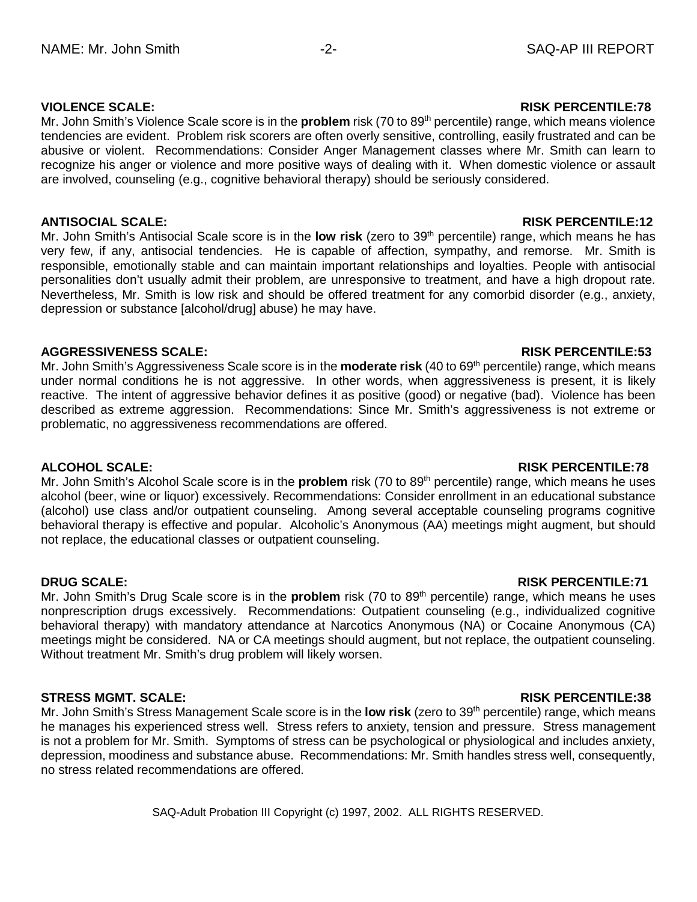## **VIOLENCE SCALE: RISK PERCENTILE:78**

Mr. John Smith's Violence Scale score is in the **problem** risk (70 to 89<sup>th</sup> percentile) range, which means violence tendencies are evident. Problem risk scorers are often overly sensitive, controlling, easily frustrated and can be abusive or violent. Recommendations: Consider Anger Management classes where Mr. Smith can learn to recognize his anger or violence and more positive ways of dealing with it. When domestic violence or assault are involved, counseling (e.g., cognitive behavioral therapy) should be seriously considered.

#### **ANTISOCIAL SCALE: RISK PERCENTILE:12**

Mr. John Smith's Antisocial Scale score is in the **low risk** (zero to 39th percentile) range, which means he has very few, if any, antisocial tendencies. He is capable of affection, sympathy, and remorse. Mr. Smith is responsible, emotionally stable and can maintain important relationships and loyalties. People with antisocial personalities don't usually admit their problem, are unresponsive to treatment, and have a high dropout rate. Nevertheless, Mr. Smith is low risk and should be offered treatment for any comorbid disorder (e.g., anxiety, depression or substance [alcohol/drug] abuse) he may have.

## **AGGRESSIVENESS SCALE: RISK PERCENTILE:53**

Mr. John Smith's Aggressiveness Scale score is in the **moderate risk** (40 to 69th percentile) range, which means under normal conditions he is not aggressive. In other words, when aggressiveness is present, it is likely reactive. The intent of aggressive behavior defines it as positive (good) or negative (bad). Violence has been described as extreme aggression. Recommendations: Since Mr. Smith's aggressiveness is not extreme or problematic, no aggressiveness recommendations are offered.

### **ALCOHOL SCALE: RISK PERCENTILE:78**

Mr. John Smith's Alcohol Scale score is in the **problem** risk (70 to 89<sup>th</sup> percentile) range, which means he uses alcohol (beer, wine or liquor) excessively. Recommendations: Consider enrollment in an educational substance (alcohol) use class and/or outpatient counseling. Among several acceptable counseling programs cognitive behavioral therapy is effective and popular. Alcoholic's Anonymous (AA) meetings might augment, but should not replace, the educational classes or outpatient counseling.

### **DRUG SCALE: RISK PERCENTILE:71**

Mr. John Smith's Drug Scale score is in the **problem** risk (70 to 89<sup>th</sup> percentile) range, which means he uses nonprescription drugs excessively. Recommendations: Outpatient counseling (e.g., individualized cognitive behavioral therapy) with mandatory attendance at Narcotics Anonymous (NA) or Cocaine Anonymous (CA) meetings might be considered. NA or CA meetings should augment, but not replace, the outpatient counseling. Without treatment Mr. Smith's drug problem will likely worsen.

### **STRESS MGMT. SCALE: RISK PERCENTILE:38**

Mr. John Smith's Stress Management Scale score is in the **low risk** (zero to 39th percentile) range, which means he manages his experienced stress well. Stress refers to anxiety, tension and pressure. Stress management is not a problem for Mr. Smith. Symptoms of stress can be psychological or physiological and includes anxiety, depression, moodiness and substance abuse. Recommendations: Mr. Smith handles stress well, consequently, no stress related recommendations are offered.

SAQ-Adult Probation III Copyright (c) 1997, 2002. ALL RIGHTS RESERVED.